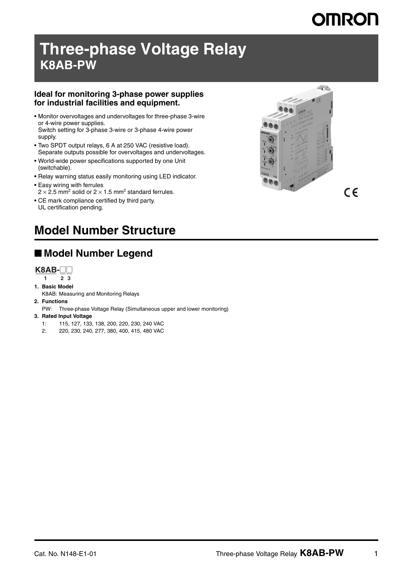# **OMRON**

 $C \in$ 

# **Three-phase Voltage Relay K8AB-PW**

#### **Ideal for monitoring 3-phase power supplies for industrial facilities and equipment.**

- Monitor overvoltages and undervoltages for three-phase 3-wire or 4-wire power supplies. Switch setting for 3-phase 3-wire or 3-phase 4-wire power supply.
- Two SPDT output relays, 6 A at 250 VAC (resistive load). Separate outputs possible for overvoltages and undervoltages.
- World-wide power specifications supported by one Unit (switchable).
- Relay warning status easily monitoring using LED indicator.
- Easy wiring with ferrules
- $2 \times 2.5$  mm<sup>2</sup> solid or  $2 \times 1.5$  mm<sup>2</sup> standard ferrules.
- CE mark compliance certified by third party. UL certification pending.



## **Model Number Structure**

## ■ Model Number Legend

**K8AB-** $\Box$ 

- **1 23**
- **1. Basic Model**
- K8AB: Measuring and Monitoring Relays
- **2. Functions**
	- PW: Three-phase Voltage Relay (Simultaneous upper and lower monitoring)
- **3. Rated Input Voltage**
	- 1: 115, 127, 133, 138, 200, 220, 230, 240 VAC
	- 2: 220, 230, 240, 277, 380, 400, 415, 480 VAC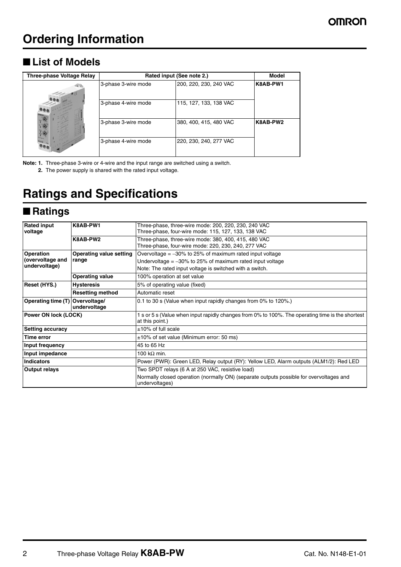### ■ List of Models

| <b>Three-phase Voltage Relay</b>    | Rated input (See note 2.) | <b>Model</b>           |          |
|-------------------------------------|---------------------------|------------------------|----------|
|                                     | 3-phase 3-wire mode       | 200, 220, 230, 240 VAC | K8AB-PW1 |
|                                     | 3-phase 4-wire mode       | 115, 127, 133, 138 VAC |          |
| $\mathbf{a}$<br>$\sqrt{\mathbf{x}}$ | 3-phase 3-wire mode       | 380, 400, 415, 480 VAC | K8AB-PW2 |
|                                     | 3-phase 4-wire mode       | 220, 230, 240, 277 VAC |          |

**Note: 1.** Three-phase 3-wire or 4-wire and the input range are switched using a switch.

**2.** The power supply is shared with the rated input voltage.

## **Ratings and Specifications**

### ■ **Ratings**

| <b>Rated input</b>      | K8AB-PW1                       | Three-phase, three-wire mode: 200, 220, 230, 240 VAC                                                                |  |
|-------------------------|--------------------------------|---------------------------------------------------------------------------------------------------------------------|--|
| voltage                 |                                | Three-phase, four-wire mode: 115, 127, 133, 138 VAC                                                                 |  |
|                         | K8AB-PW2                       | Three-phase, three-wire mode: 380, 400, 415, 480 VAC                                                                |  |
|                         |                                |                                                                                                                     |  |
|                         |                                | Three-phase, four-wire mode: 220, 230, 240, 277 VAC                                                                 |  |
| <b>Operation</b>        | <b>Operating value setting</b> | Overvoltage $=$ -30% to 25% of maximum rated input voltage                                                          |  |
| (overvoltage and        | range                          | Undervoltage $=$ -30% to 25% of maximum rated input voltage                                                         |  |
| undervoltage)           |                                | Note: The rated input voltage is switched with a switch.                                                            |  |
|                         | <b>Operating value</b>         | 100% operation at set value                                                                                         |  |
| Reset (HYS.)            | <b>Hysteresis</b>              | 5% of operating value (fixed)                                                                                       |  |
|                         | <b>Resetting method</b>        | Automatic reset                                                                                                     |  |
| Operating time (T)      | Overvoltage/                   | 0.1 to 30 s (Value when input rapidly changes from 0% to 120%.)                                                     |  |
|                         | undervoltage                   |                                                                                                                     |  |
| Power ON lock (LOCK)    |                                | 1 s or 5 s (Value when input rapidly changes from 0% to 100%. The operating time is the shortest<br>at this point.) |  |
|                         |                                |                                                                                                                     |  |
| <b>Setting accuracy</b> |                                | $±10\%$ of full scale                                                                                               |  |
| Time error              |                                | $\pm 10\%$ of set value (Minimum error: 50 ms)<br>45 to 65 Hz                                                       |  |
| Input frequency         |                                |                                                                                                                     |  |
| Input impedance         |                                | 100 k $\Omega$ min.                                                                                                 |  |
| <b>Indicators</b>       |                                | Power (PWR): Green LED, Relay output (RY): Yellow LED, Alarm outputs (ALM1/2): Red LED                              |  |
| Output relays           |                                | Two SPDT relays (6 A at 250 VAC, resistive load)                                                                    |  |
|                         |                                | Normally closed operation (normally ON) (separate outputs possible for overvoltages and<br>undervoltages)           |  |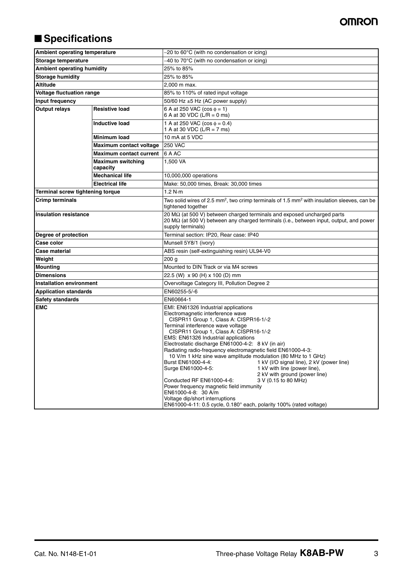### **OMRON**

## ■ **Specifications**

| Ambient operating temperature                                   |                                      | $-20$ to 60 $\degree$ C (with no condensation or icing)                                                                                                                                                                                                                                                                                                                                                                                                                                                                                                                                                                                                                                                                                                                                                                       |  |  |
|-----------------------------------------------------------------|--------------------------------------|-------------------------------------------------------------------------------------------------------------------------------------------------------------------------------------------------------------------------------------------------------------------------------------------------------------------------------------------------------------------------------------------------------------------------------------------------------------------------------------------------------------------------------------------------------------------------------------------------------------------------------------------------------------------------------------------------------------------------------------------------------------------------------------------------------------------------------|--|--|
| Storage temperature                                             |                                      | -40 to 70°C (with no condensation or icing)                                                                                                                                                                                                                                                                                                                                                                                                                                                                                                                                                                                                                                                                                                                                                                                   |  |  |
| <b>Ambient operating humidity</b>                               |                                      | 25% to 85%                                                                                                                                                                                                                                                                                                                                                                                                                                                                                                                                                                                                                                                                                                                                                                                                                    |  |  |
| <b>Storage humidity</b>                                         |                                      | 25% to 85%                                                                                                                                                                                                                                                                                                                                                                                                                                                                                                                                                                                                                                                                                                                                                                                                                    |  |  |
| <b>Altitude</b>                                                 |                                      | 2,000 m max.                                                                                                                                                                                                                                                                                                                                                                                                                                                                                                                                                                                                                                                                                                                                                                                                                  |  |  |
| Voltage fluctuation range                                       |                                      | 85% to 110% of rated input voltage                                                                                                                                                                                                                                                                                                                                                                                                                                                                                                                                                                                                                                                                                                                                                                                            |  |  |
| Input frequency                                                 |                                      | 50/60 Hz $\pm$ 5 Hz (AC power supply)                                                                                                                                                                                                                                                                                                                                                                                                                                                                                                                                                                                                                                                                                                                                                                                         |  |  |
| <b>Output relays</b><br><b>Resistive load</b><br>Inductive load |                                      | 6 A at 250 VAC ( $\cos \phi = 1$ )<br>6 A at 30 VDC (L/R = 0 ms)                                                                                                                                                                                                                                                                                                                                                                                                                                                                                                                                                                                                                                                                                                                                                              |  |  |
|                                                                 |                                      | 1 A at 250 VAC ( $\cos \phi = 0.4$ )<br>1 A at 30 VDC (L/R = 7 ms)                                                                                                                                                                                                                                                                                                                                                                                                                                                                                                                                                                                                                                                                                                                                                            |  |  |
|                                                                 | Minimum load                         | 10 mA at 5 VDC                                                                                                                                                                                                                                                                                                                                                                                                                                                                                                                                                                                                                                                                                                                                                                                                                |  |  |
|                                                                 | Maximum contact voltage              | <b>250 VAC</b>                                                                                                                                                                                                                                                                                                                                                                                                                                                                                                                                                                                                                                                                                                                                                                                                                |  |  |
|                                                                 | <b>Maximum contact current</b>       | 6 A AC                                                                                                                                                                                                                                                                                                                                                                                                                                                                                                                                                                                                                                                                                                                                                                                                                        |  |  |
|                                                                 | <b>Maximum switching</b><br>capacity | 1,500 VA                                                                                                                                                                                                                                                                                                                                                                                                                                                                                                                                                                                                                                                                                                                                                                                                                      |  |  |
|                                                                 | <b>Mechanical life</b>               | 10,000,000 operations                                                                                                                                                                                                                                                                                                                                                                                                                                                                                                                                                                                                                                                                                                                                                                                                         |  |  |
|                                                                 | <b>Electrical life</b>               | Make: 50,000 times, Break: 30,000 times                                                                                                                                                                                                                                                                                                                                                                                                                                                                                                                                                                                                                                                                                                                                                                                       |  |  |
| Terminal screw tightening torque                                |                                      | 1.2 $N·m$                                                                                                                                                                                                                                                                                                                                                                                                                                                                                                                                                                                                                                                                                                                                                                                                                     |  |  |
| <b>Crimp terminals</b>                                          |                                      | Two solid wires of 2.5 mm <sup>2</sup> , two crimp terminals of 1.5 mm <sup>2</sup> with insulation sleeves, can be<br>tightened together                                                                                                                                                                                                                                                                                                                                                                                                                                                                                                                                                                                                                                                                                     |  |  |
| <b>Insulation resistance</b>                                    |                                      | 20 $\text{M}\Omega$ (at 500 V) between charged terminals and exposed uncharged parts<br>20 M $\Omega$ (at 500 V) between any charged terminals (i.e., between input, output, and power<br>supply terminals)                                                                                                                                                                                                                                                                                                                                                                                                                                                                                                                                                                                                                   |  |  |
| Degree of protection                                            |                                      | Terminal section: IP20, Rear case: IP40                                                                                                                                                                                                                                                                                                                                                                                                                                                                                                                                                                                                                                                                                                                                                                                       |  |  |
| Case color                                                      |                                      | Munsell 5Y8/1 (ivory)                                                                                                                                                                                                                                                                                                                                                                                                                                                                                                                                                                                                                                                                                                                                                                                                         |  |  |
| <b>Case material</b>                                            |                                      | ABS resin (self-extinguishing resin) UL94-V0                                                                                                                                                                                                                                                                                                                                                                                                                                                                                                                                                                                                                                                                                                                                                                                  |  |  |
| Weight                                                          |                                      | 200 <sub>g</sub>                                                                                                                                                                                                                                                                                                                                                                                                                                                                                                                                                                                                                                                                                                                                                                                                              |  |  |
| <b>Mounting</b>                                                 |                                      | Mounted to DIN Track or via M4 screws                                                                                                                                                                                                                                                                                                                                                                                                                                                                                                                                                                                                                                                                                                                                                                                         |  |  |
| <b>Dimensions</b>                                               |                                      | 22.5 (W) x 90 (H) x 100 (D) mm                                                                                                                                                                                                                                                                                                                                                                                                                                                                                                                                                                                                                                                                                                                                                                                                |  |  |
| <b>Installation environment</b>                                 |                                      | Overvoltage Category III, Pollution Degree 2                                                                                                                                                                                                                                                                                                                                                                                                                                                                                                                                                                                                                                                                                                                                                                                  |  |  |
| <b>Application standards</b>                                    |                                      | EN60255-5/-6                                                                                                                                                                                                                                                                                                                                                                                                                                                                                                                                                                                                                                                                                                                                                                                                                  |  |  |
| <b>Safety standards</b>                                         |                                      | EN60664-1                                                                                                                                                                                                                                                                                                                                                                                                                                                                                                                                                                                                                                                                                                                                                                                                                     |  |  |
| <b>EMC</b>                                                      |                                      | EMI: EN61326 Industrial applications<br>Electromagnetic interference wave<br>CISPR11 Group 1, Class A: CISPR16-1/-2<br>Terminal interference wave voltage<br>CISPR11 Group 1, Class A: CISPR16-1/-2<br>EMS: EN61326 Industrial applications<br>Electrostatic discharge EN61000-4-2: 8 kV (in air)<br>Radiating radio-frequency electromagnetic field EN61000-4-3:<br>10 V/m 1 kHz sine wave amplitude modulation (80 MHz to 1 GHz)<br>1 kV (I/O signal line), 2 kV (power line)<br>Burst EN61000-4-4:<br>Surge EN61000-4-5:<br>1 kV with line (power line),<br>2 kV with ground (power line)<br>3 V (0.15 to 80 MHz)<br>Conducted RF EN61000-4-6:<br>Power frequency magnetic field immunity<br>EN61000-4-8: 30 A/m<br>Voltage dip/short interruptions<br>EN61000-4-11: 0.5 cycle, 0.180° each, polarity 100% (rated voltage) |  |  |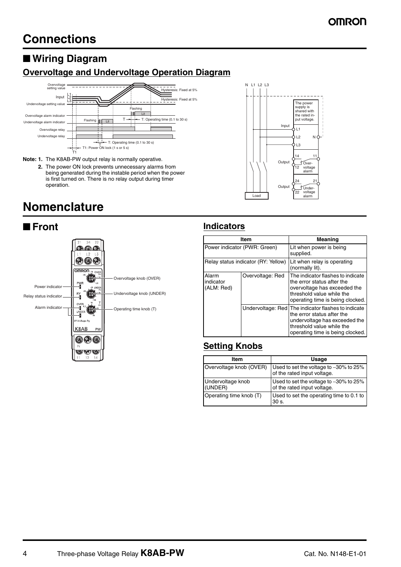### ■ **Wiring Diagram**

### **Overvoltage and Undervoltage Operation Diagram**



- **Note: 1.** The K8AB-PW output relay is normally operative.
	- **2.** The power ON lock prevents unnecessary alarms from being generated during the instable period when the power is first turned on. There is no relay output during timer operation.

## **Nomenclature**





N L1 L2 L3

#### ■ **Front Indicators**

| Item                             |                                     | <b>Meaning</b>                                                                                                                                                                      |  |
|----------------------------------|-------------------------------------|-------------------------------------------------------------------------------------------------------------------------------------------------------------------------------------|--|
| Power indicator (PWR: Green)     |                                     | Lit when power is being<br>supplied.                                                                                                                                                |  |
|                                  | Relay status indicator (RY: Yellow) | Lit when relay is operating<br>(normally lit).                                                                                                                                      |  |
| Alarm<br>indicator<br>(ALM: Red) | Overvoltage: Red                    | The indicator flashes to indicate<br>the error status after the<br>overvoltage has exceeded the<br>threshold value while the<br>operating time is being clocked.                    |  |
|                                  |                                     | Undervoltage: Red The indicator flashes to indicate<br>the error status after the<br>undervoltage has exceeded the<br>threshold value while the<br>operating time is being clocked. |  |

### **Setting Knobs**

| Item                         | Usage                                                                 |
|------------------------------|-----------------------------------------------------------------------|
| Overvoltage knob (OVER)      | Used to set the voltage to -30% to 25%<br>of the rated input voltage. |
| Undervoltage knob<br>(UNDER) | Used to set the voltage to -30% to 25%<br>of the rated input voltage. |
| Operating time knob (T)      | Used to set the operating time to 0.1 to<br>30 s.                     |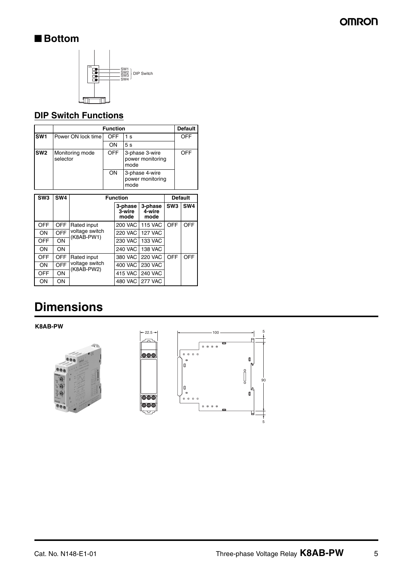## ■ **Bottom**



### **DIP Switch Functions**

|                 | <b>Function</b>             |            |                                            | <b>Default</b> |
|-----------------|-----------------------------|------------|--------------------------------------------|----------------|
| <b>SW1</b>      | Power ON lock time          | <b>OFF</b> | 1 s                                        | OFF            |
|                 |                             | ON         | 5s                                         |                |
| SW <sub>2</sub> | Monitoring mode<br>selector | <b>OFF</b> | 3-phase 3-wire<br>power monitoring<br>mode | OFF            |
|                 |                             | ON         | 3-phase 4-wire<br>power monitoring<br>mode |                |

| SW <sub>3</sub> | SW <sub>4</sub> | <b>Function</b>                             |                           |                           | <b>Default</b>  |                 |
|-----------------|-----------------|---------------------------------------------|---------------------------|---------------------------|-----------------|-----------------|
|                 |                 |                                             | 3-phase<br>3-wire<br>mode | 3-phase<br>4-wire<br>mode | SW <sub>3</sub> | SW <sub>4</sub> |
| <b>OFF</b>      | <b>OFF</b>      | Rated input<br>voltage switch<br>(K8AB-PW1) | <b>200 VAC</b>            | <b>115 VAC</b>            | OFF             | OFF             |
| ON              | OFF             |                                             | <b>220 VAC</b>            | <b>127 VAC</b>            |                 |                 |
| <b>OFF</b>      | ON              |                                             | 230 VAC                   | <b>133 VAC</b>            |                 |                 |
| ON              | ON              |                                             | <b>240 VAC</b>            | <b>138 VAC</b>            |                 |                 |
| <b>OFF</b>      | OFF             | Rated input<br>voltage switch<br>(K8AB-PW2) | 380 VAC                   | <b>220 VAC</b>            | OFF             | OFF             |
| ON              | <b>OFF</b>      |                                             | 400 VAC                   | <b>230 VAC</b>            |                 |                 |
| <b>OFF</b>      | ON              |                                             | 415 VAC                   | <b>240 VAC</b>            |                 |                 |
| OΝ              | ON              |                                             |                           | 480 VAC 277 VAC           |                 |                 |

# **Dimensions**

**K8AB-PW**



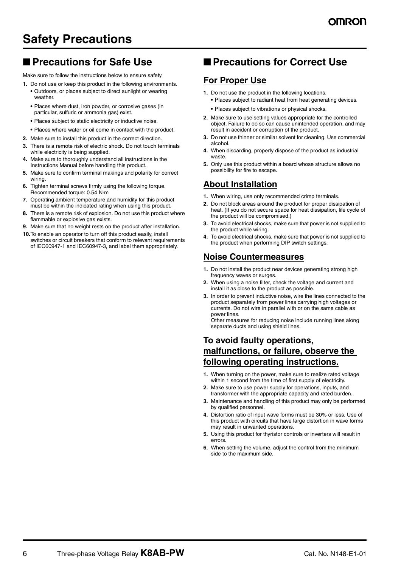## **Safety Precautions**

### ■ **Precautions for Safe Use**

Make sure to follow the instructions below to ensure safety.

- **1.** Do not use or keep this product in the following environments. **•** Outdoors, or places subject to direct sunlight or wearing weather.
	- **•** Places where dust, iron powder, or corrosive gases (in particular, sulfuric or ammonia gas) exist.
	- **•** Places subject to static electricity or inductive noise.
	- **•** Places where water or oil come in contact with the product.
- **2.** Make sure to install this product in the correct direction.
- **3.** There is a remote risk of electric shock. Do not touch terminals while electricity is being supplied.
- **4.** Make sure to thoroughly understand all instructions in the Instructions Manual before handling this product.
- **5.** Make sure to confirm terminal makings and polarity for correct wiring.
- **6.** Tighten terminal screws firmly using the following torque. Recommended torque: 0.54 N·m
- **7.** Operating ambient temperature and humidity for this product must be within the indicated rating when using this product.
- **8.** There is a remote risk of explosion. Do not use this product where flammable or explosive gas exists.
- **9.** Make sure that no weight rests on the product after installation.
- **10.**To enable an operator to turn off this product easily, install switches or circuit breakers that conform to relevant requirements of IEC60947-1 and IEC60947-3, and label them appropriately.

### ■ **Precautions for Correct Use**

### **For Proper Use**

- **1.** Do not use the product in the following locations.
	- **•** Places subject to radiant heat from heat generating devices.
	- **•** Places subject to vibrations or physical shocks.
- **2.** Make sure to use setting values appropriate for the controlled object. Failure to do so can cause unintended operation, and may result in accident or corruption of the product.
- **3.** Do not use thinner or similar solvent for cleaning. Use commercial alcohol.
- **4.** When discarding, properly dispose of the product as industrial waste.
- **5.** Only use this product within a board whose structure allows no possibility for fire to escape.

### **About Installation**

- **1.** When wiring, use only recommended crimp terminals.
- **2.** Do not block areas around the product for proper dissipation of heat. (If you do not secure space for heat dissipation, life cycle of the product will be compromised.)
- **3.** To avoid electrical shocks, make sure that power is not supplied to the product while wiring.
- **4.** To avoid electrical shocks, make sure that power is not supplied to the product when performing DIP switch settings.

#### **Noise Countermeasures**

- **1.** Do not install the product near devices generating strong high frequency waves or surges.
- **2.** When using a noise filter, check the voltage and current and install it as close to the product as possible.
- **3.** In order to prevent inductive noise, wire the lines connected to the product separately from power lines carrying high voltages or currents. Do not wire in parallel with or on the same cable as power lines.

Other measures for reducing noise include running lines along separate ducts and using shield lines.

### **To avoid faulty operations, malfunctions, or failure, observe the following operating instructions.**

- **1.** When turning on the power, make sure to realize rated voltage within 1 second from the time of first supply of electricity.
- **2.** Make sure to use power supply for operations, inputs, and transformer with the appropriate capacity and rated burden.
- **3.** Maintenance and handling of this product may only be performed by qualified personnel.
- **4.** Distortion ratio of input wave forms must be 30% or less. Use of this product with circuits that have large distortion in wave forms may result in unwanted operations.
- **5.** Using this product for thyristor controls or inverters will result in errors.
- **6.** When setting the volume, adjust the control from the minimum side to the maximum side.